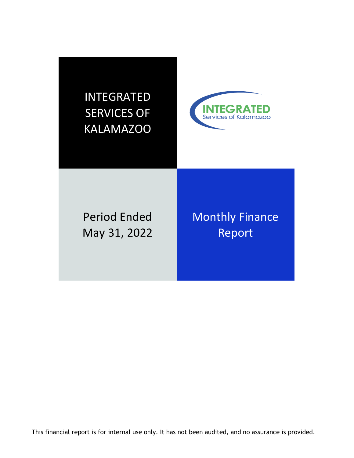



Period Ended May 31, 2022 Monthly Finance Report

This financial report is for internal use only. It has not been audited, and no assurance is provided.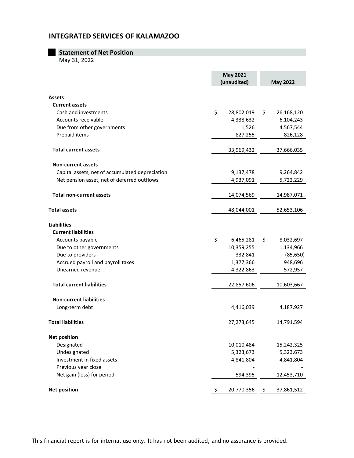|  |  |  | <b>Statement of Net Position</b> |
|--|--|--|----------------------------------|
|  |  |  |                                  |

May 31, 2022

|                                                 | <b>May 2021</b><br>(unaudited) | <b>May 2022</b>  |
|-------------------------------------------------|--------------------------------|------------------|
| <b>Assets</b>                                   |                                |                  |
| <b>Current assets</b>                           |                                |                  |
| Cash and investments                            | \$<br>28,802,019               | \$<br>26,168,120 |
| Accounts receivable                             | 4,338,632                      | 6,104,243        |
| Due from other governments                      | 1,526                          | 4,567,544        |
| Prepaid items                                   | 827,255                        | 826,128          |
| <b>Total current assets</b>                     | 33,969,432                     | 37,666,035       |
| <b>Non-current assets</b>                       |                                |                  |
| Capital assets, net of accumulated depreciation | 9,137,478                      | 9,264,842        |
| Net pension asset, net of deferred outflows     | 4,937,091                      | 5,722,229        |
| <b>Total non-current assets</b>                 | 14,074,569                     | 14,987,071       |
| <b>Total assets</b>                             | 48,044,001                     | 52,653,106       |
| <b>Liabilities</b>                              |                                |                  |
| <b>Current liabilities</b>                      |                                |                  |
| Accounts payable                                | \$<br>6,465,281                | \$<br>8,032,697  |
| Due to other governments                        | 10,359,255                     | 1,134,966        |
| Due to providers                                | 332,841                        | (85, 650)        |
| Accrued payroll and payroll taxes               | 1,377,366                      | 948,696          |
| Unearned revenue                                | 4,322,863                      | 572,957          |
| <b>Total current liabilities</b>                | 22,857,606                     | 10,603,667       |
| <b>Non-current liabilities</b>                  |                                |                  |
| Long-term debt                                  | 4,416,039                      | 4,187,927        |
| <b>Total liabilities</b>                        | 27,273,645                     | 14,791,594       |
| <b>Net position</b>                             |                                |                  |
| Designated                                      | 10,010,484                     | 15,242,325       |
| Undesignated                                    | 5,323,673                      | 5,323,673        |
| Investment in fixed assets                      | 4,841,804                      | 4,841,804        |
| Previous year close                             |                                |                  |
| Net gain (loss) for period                      | 594,395                        | 12,453,710       |
| <b>Net position</b>                             | 20,770,356                     | 37,861,512       |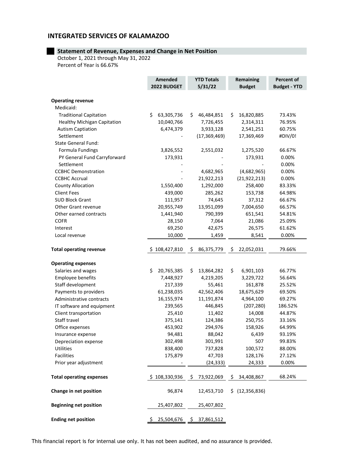### **Statement of Revenue, Expenses and Change in Net Position**

October 1, 2021 through May 31, 2022 Percent of Year is 66.67%

|                                 | Amended<br>2022 BUDGET | <b>YTD Totals</b><br>5/31/22 | <b>Remaining</b><br><b>Budget</b> | Percent of<br><b>Budget - YTD</b> |  |  |  |
|---------------------------------|------------------------|------------------------------|-----------------------------------|-----------------------------------|--|--|--|
| <b>Operating revenue</b>        |                        |                              |                                   |                                   |  |  |  |
| Medicaid:                       |                        |                              |                                   |                                   |  |  |  |
| <b>Traditional Capitation</b>   | \$<br>63,305,736       | \$<br>46,484,851             | 16,820,885<br>\$                  | 73.43%                            |  |  |  |
| Healthy Michigan Capitation     | 10,040,766             | 7,726,455                    | 2,314,311                         | 76.95%                            |  |  |  |
| <b>Autism Captiation</b>        | 6,474,379              | 3,933,128                    | 2,541,251                         | 60.75%                            |  |  |  |
| Settlement                      |                        | (17, 369, 469)               | 17,369,469                        | #DIV/0!                           |  |  |  |
| <b>State General Fund:</b>      |                        |                              |                                   |                                   |  |  |  |
| Formula Fundings                | 3,826,552              | 2,551,032                    | 1,275,520                         | 66.67%                            |  |  |  |
| PY General Fund Carryforward    | 173,931                |                              | 173,931                           | 0.00%                             |  |  |  |
| Settlement                      |                        |                              |                                   | 0.00%                             |  |  |  |
| <b>CCBHC Demonstration</b>      |                        | 4,682,965                    | (4,682,965)                       | 0.00%                             |  |  |  |
| <b>CCBHC Accrual</b>            |                        | 21,922,213                   | (21, 922, 213)                    | 0.00%                             |  |  |  |
| <b>County Allocation</b>        | 1,550,400              | 1,292,000                    | 258,400                           | 83.33%                            |  |  |  |
| <b>Client Fees</b>              |                        |                              |                                   |                                   |  |  |  |
|                                 | 439,000                | 285,262                      | 153,738                           | 64.98%                            |  |  |  |
| <b>SUD Block Grant</b>          | 111,957                | 74,645                       | 37,312                            | 66.67%                            |  |  |  |
| Other Grant revenue             | 20,955,749             | 13,951,099                   | 7,004,650                         | 66.57%                            |  |  |  |
| Other earned contracts          | 1,441,940              | 790,399                      | 651,541                           | 54.81%                            |  |  |  |
| <b>COFR</b>                     | 28,150                 | 7,064                        | 21,086                            | 25.09%                            |  |  |  |
| Interest                        | 69,250                 | 42,675                       | 26,575                            | 61.62%                            |  |  |  |
| Local revenue                   | 10,000                 | 1,459                        | 8,541                             | 0.00%                             |  |  |  |
| <b>Total operating revenue</b>  | \$108,427,810          | \$<br>86,375,779             | \$<br>22,052,031                  | 79.66%                            |  |  |  |
| <b>Operating expenses</b>       |                        |                              |                                   |                                   |  |  |  |
| Salaries and wages              | \$<br>20,765,385       | \$<br>13,864,282             | \$.<br>6,901,103                  | 66.77%                            |  |  |  |
| Employee benefits               | 7,448,927              | 4,219,205                    | 3,229,722                         | 56.64%                            |  |  |  |
| Staff development               | 217,339                | 55,461                       | 161,878                           | 25.52%                            |  |  |  |
| Payments to providers           | 61,238,035             | 42,562,406                   | 18,675,629                        | 69.50%                            |  |  |  |
| Administrative contracts        | 16,155,974             | 11,191,874                   | 4,964,100                         | 69.27%                            |  |  |  |
| IT software and equipment       | 239,565                | 446,845                      | (207, 280)                        | 186.52%                           |  |  |  |
| Client transportation           | 25,410                 | 11,402                       | 14,008                            | 44.87%                            |  |  |  |
| Staff travel                    | 375,141                | 124,386                      | 250,755                           | 33.16%                            |  |  |  |
| Office expenses                 | 453,902                | 294,976                      | 158,926                           | 64.99%                            |  |  |  |
| Insurance expense               | 94,481                 | 88,042                       | 6,439                             | 93.19%                            |  |  |  |
| Depreciation expense            | 302,498                | 301,991                      | 507                               | 99.83%                            |  |  |  |
| Utilities                       | 838,400                | 737,828                      | 100,572                           | 88.00%                            |  |  |  |
| <b>Facilities</b>               | 175,879                | 47,703                       | 128,176                           | 27.12%                            |  |  |  |
| Prior year adjustment           |                        | (24, 333)                    | 24,333                            | 0.00%                             |  |  |  |
|                                 |                        |                              |                                   |                                   |  |  |  |
| <b>Total operating expenses</b> | \$108,330,936          | 73,922,069<br>Ş.             | \$<br>34,408,867                  | 68.24%                            |  |  |  |
| Change in net position          | 96,874                 | 12,453,710                   | \$ (12,356,836)                   |                                   |  |  |  |
| <b>Beginning net position</b>   | 25,407,802             | 25,407,802                   |                                   |                                   |  |  |  |
| <b>Ending net position</b>      | \$<br>25,504,676       | 37,861,512<br>\$             |                                   |                                   |  |  |  |

This financial report is for internal use only. It has not been audited, and no assurance is provided.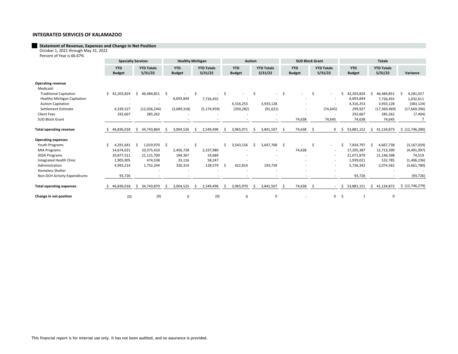# **Statement of Revenue, Expenses and Change in Net Position** October 1, 2021 through May 31, 2022

Percent of Year is 66.67%

|                                                                                                                                 |                             | <b>Specialty Services</b>                                       |                              |                                                               |     | <b>Healthy Michigan</b>                   |     |                                          |   | Autism                      |     |                                       |      | <b>SUD Block Grant</b>      |               | <b>Totals</b>                                                                                        |    |                                                                 |    |                                                               |  |                                                                      |
|---------------------------------------------------------------------------------------------------------------------------------|-----------------------------|-----------------------------------------------------------------|------------------------------|---------------------------------------------------------------|-----|-------------------------------------------|-----|------------------------------------------|---|-----------------------------|-----|---------------------------------------|------|-----------------------------|---------------|------------------------------------------------------------------------------------------------------|----|-----------------------------------------------------------------|----|---------------------------------------------------------------|--|----------------------------------------------------------------------|
|                                                                                                                                 | <b>YTD</b><br><b>Budget</b> |                                                                 | <b>YTD Totals</b><br>5/31/22 |                                                               |     | <b>YTD</b><br><b>Budget</b>               |     | <b>YTD Totals</b><br>5/31/22             |   | <b>YTD</b><br><b>Budget</b> |     | <b>YTD Totals</b><br>5/31/22          |      | <b>YTD</b><br><b>Budget</b> |               | <b>YTD Totals</b><br>5/31/22                                                                         |    | <b>YTD</b><br><b>Budget</b>                                     |    | <b>YTD Totals</b><br>5/31/22                                  |  | Variance                                                             |
| <b>Operating revenue</b><br>Medicaid:                                                                                           |                             |                                                                 |                              |                                                               |     |                                           |     |                                          |   |                             |     |                                       |      |                             |               |                                                                                                      |    |                                                                 |    |                                                               |  |                                                                      |
| <b>Traditional Capitation</b><br><b>Healthy Michigan Capitation</b><br><b>Autism Capitation</b>                                 |                             | \$42,203,824                                                    | ς.                           | 46,484,851                                                    |     | 6,693,844                                 | -S  | 7,726,455                                |   | 4,316,253                   | Ŝ   | $\overline{\phantom{a}}$<br>3,933,128 | \$   |                             | <sup>\$</sup> | $\overline{\phantom{a}}$                                                                             |    | 42,203,824<br>6,693,844<br>4,316,253                            |    | 46,484,851<br>7,726,455<br>3,933,128                          |  | 4,281,027<br>1,032,611<br>(383, 124)                                 |
| Settlement Estimate<br><b>Client Fees</b><br><b>SUD Block Grant</b>                                                             |                             | 4,339,527<br>292,667                                            |                              | (12,026,244)<br>285,262                                       |     | (3,689,318)                               |     | (5, 176, 959)                            |   | (350, 282)                  |     | (91, 621)                             |      | 74,638                      |               | (74, 645)<br>74,645                                                                                  |    | 299,927<br>292,667<br>74,638                                    |    | (17, 369, 469)<br>285,262<br>74,645                           |  | (17,669,396)<br>(7, 404)                                             |
| <b>Total operating revenue</b>                                                                                                  |                             | 46,836,018                                                      | Ŝ.                           | 34,743,869                                                    | Ŝ.  | 3,004,526                                 | -S  | 2,549,496                                | S | 3,965,971                   | -Ŝ  | 3,841,507                             | - \$ | 74,638                      | Ŝ.            | $\mathbf 0$                                                                                          | \$ | 53,881,152                                                      | Ŝ. | 41,134,873                                                    |  | \$(12,746,280)                                                       |
| <b>Operating expenses</b>                                                                                                       |                             |                                                                 |                              |                                                               |     |                                           |     |                                          |   |                             |     |                                       |      |                             |               |                                                                                                      |    |                                                                 |    |                                                               |  |                                                                      |
| Youth Programs<br><b>MIA Programs</b><br><b>IDDA Programs</b><br>Integrated Health Clinic<br>Administration<br>Homeless Shelter |                             | 4,291,641<br>14,674,021<br>20,877,511<br>1,905,905<br>4,993,214 | \$                           | 1,019,970<br>10,375,410<br>21,121,709<br>474,538<br>1,752,244 | -\$ | 2,456,728<br>194,367<br>33,116<br>320,314 | -\$ | 2,337,980<br>24,689<br>58,247<br>128,579 |   | 3,543,156<br>422,814        | - Ś | 3,647,768<br>193,739                  | - \$ | 74,638                      | Ś             | $\sim$<br>$\overline{\phantom{a}}$<br>$\sim$<br>$\overline{\phantom{a}}$<br>$\overline{\phantom{a}}$ |    | 7,834,797<br>17,205,387<br>21,071,879<br>1,939,021<br>5,736,342 |    | 4,667,738<br>12,713,390<br>21,146,398<br>532,785<br>2,074,562 |  | (3, 167, 059)<br>(4,491,997)<br>74,519<br>(1,406,236)<br>(3,661,780) |
| Non-DCH Activity Expenditures                                                                                                   |                             | 93,726                                                          |                              |                                                               |     |                                           |     |                                          |   |                             |     |                                       |      |                             |               |                                                                                                      |    | 93,726                                                          |    |                                                               |  | (93, 726)                                                            |
| <b>Total operating expenses</b>                                                                                                 |                             | 46,836,018                                                      |                              | \$34,743,870                                                  | Ŝ.  | 3,004,525                                 | -S  | 2,549,496                                |   | 3,965,970                   | Ŝ.  | 3,841,507                             | -\$  | 74,638                      | Ŝ.            | $\sim$                                                                                               | S. | 53,881,151                                                      | S. | 41,134,872                                                    |  | \$ (12, 746, 279)                                                    |
| Change in net position                                                                                                          |                             | (0)                                                             |                              | (0)                                                           |     | 0                                         |     | (0)                                      |   | 0                           |     | 0                                     |      |                             |               | $\mathbf 0$                                                                                          | Ś  |                                                                 |    | 0                                                             |  |                                                                      |